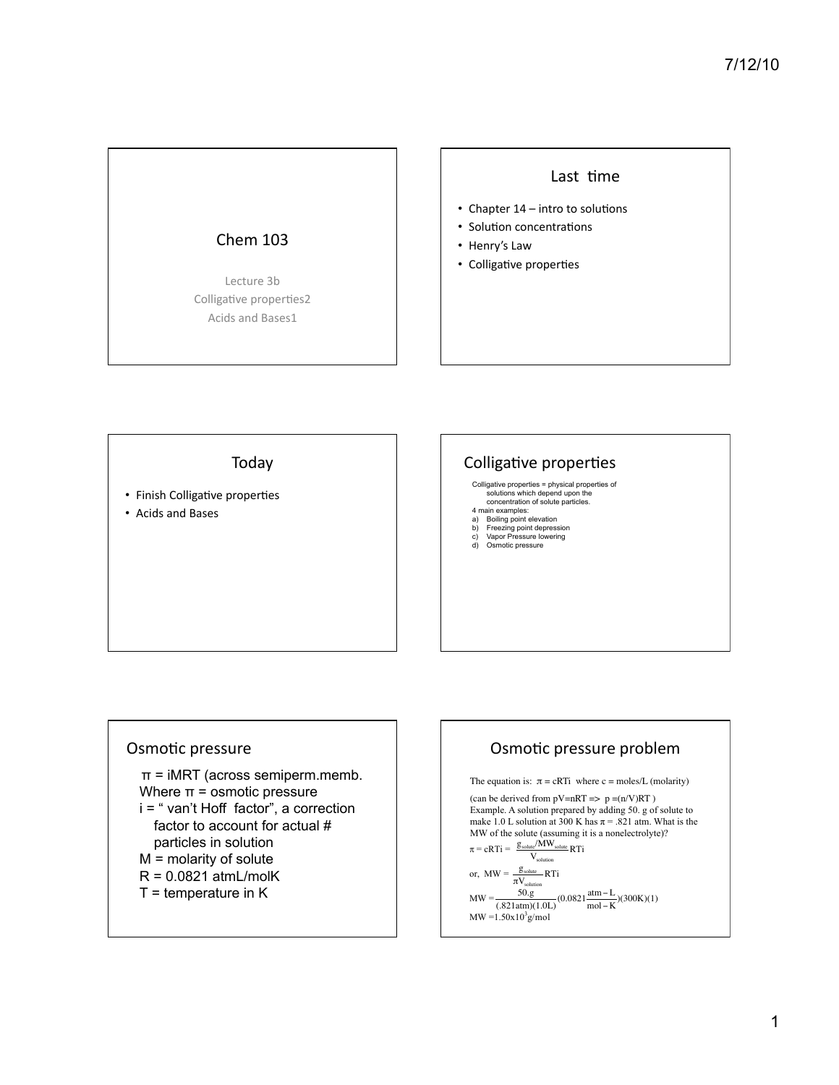# Chem 103

Lecture 3b Colligative properties2 Acids and Bases1

#### Last time

- Chapter  $14$  intro to solutions
- Solution concentrations
- Henry's Law
- Colligative properties

#### Today

- Finish Colligative properties
- Acids and Bases

### Colligative properties

Colligative properties = physical properties of solutions which depend upon the concentration of solute particles. 4 main examples:

- 
- a) Boiling point elevation b) Freezing point depression c) Vapor Pressure lowering d) Osmotic pressure
- 
- 

#### Osmotic pressure

 $\pi$  = iMRT (across semiperm.memb. Where  $\pi$  = osmotic pressure i = " van't Hoff factor", a correction

- factor to account for actual # particles in solution
- M = molarity of solute
- $R = 0.0821$  atmL/molK
- $T =$  temperature in K

#### Osmotic pressure problem The equation is:  $\pi = cRTi$  where c = moles/L (molarity) (can be derived from  $pV=nRT \Rightarrow p = (n/V)RT$ ) Example. A solution prepared by adding 50. g of solute to make 1.0 L solution at 300 K has  $\pi$  = .821 atm. What is the MW of the solute (assuming it is a nonelectrolyte)?  $\pi = cRTi = \frac{g_{\text{solute}}/MW_{\text{solute}}}{M}RTi$  $\rm V_{solution}$ or,  $MW = \frac{g_{\text{solute}}}{\pi V_{\text{solution}}} RTi$  $MW = \frac{50 \text{.g}}{(.821 \text{atm})(1.0 \text{L})} (0.0821 \frac{\text{atm} - \text{L}}{\text{mol} - \text{K}})(300 \text{K})(1)$  $MW = 1.50x10<sup>3</sup>g/mol$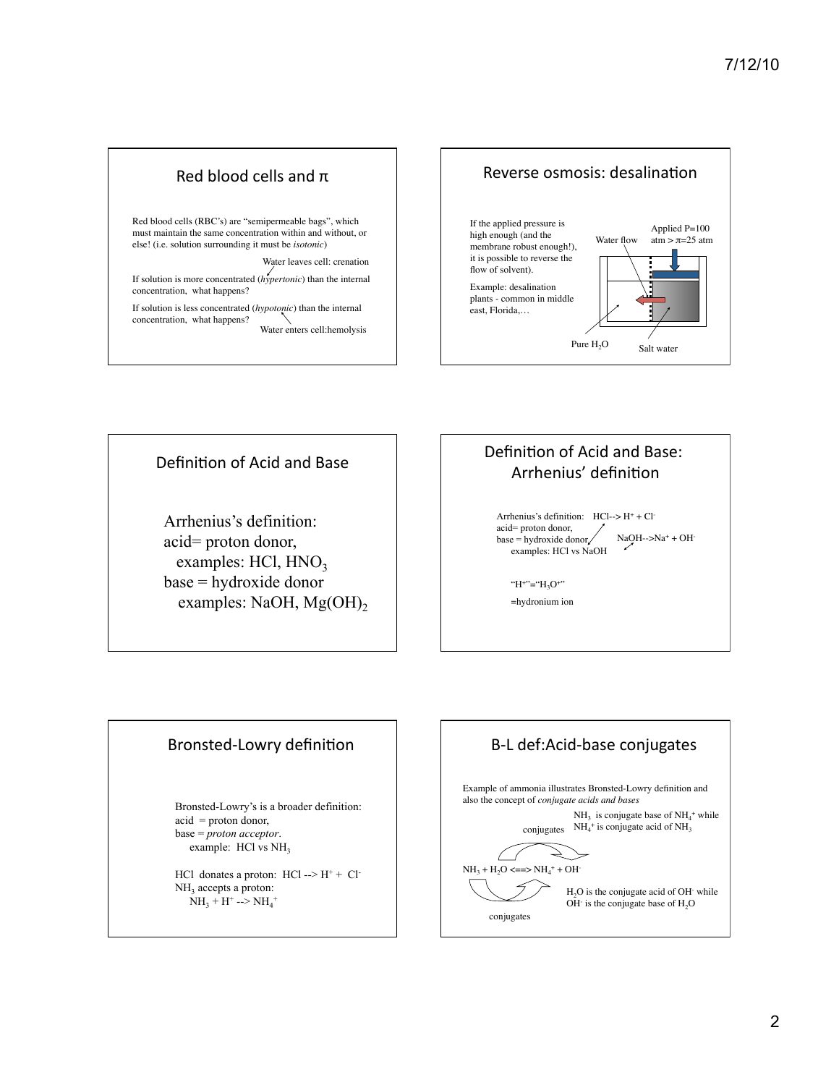### Red blood cells and  $\pi$

Red blood cells (RBC's) are "semipermeable bags", which must maintain the same concentration within and without, or else! (i.e. solution surrounding it must be *isotonic*)

Water leaves cell: crenation

If solution is more concentrated (*hypertonic*) than the internal concentration, what happens?

If solution is less concentrated (*hypotonic*) than the internal concentration, what happens? Water enters cell:hemolysis



Definition of Acid and Base

Arrhenius's definition: acid= proton donor, examples:  $HC1$ ,  $HNO<sub>3</sub>$ base = hydroxide donor examples: NaOH, Mg(OH)<sub>2</sub>

### Definition of Acid and Base: Arrhenius' definition

Arrhenius's definition: HCl--> H+ + Clacid= proton donor, base = hydroxide donor examples: HCl vs NaOH NaOH-->Na+ + OH-

"H+"="H<sub>3</sub>O+" =hydronium ion

#### Bronsted-Lowry definition

Bronsted-Lowry's is a broader definition: acid = proton donor, base = *proton acceptor*. example: HCl vs NH<sub>3</sub>

HCl donates a proton:  $HCl$  --> $H^+$  +  $Cl^-$ NH<sub>3</sub> accepts a proton:  $NH_3 + H^+$  -->  $NH_4^+$ 

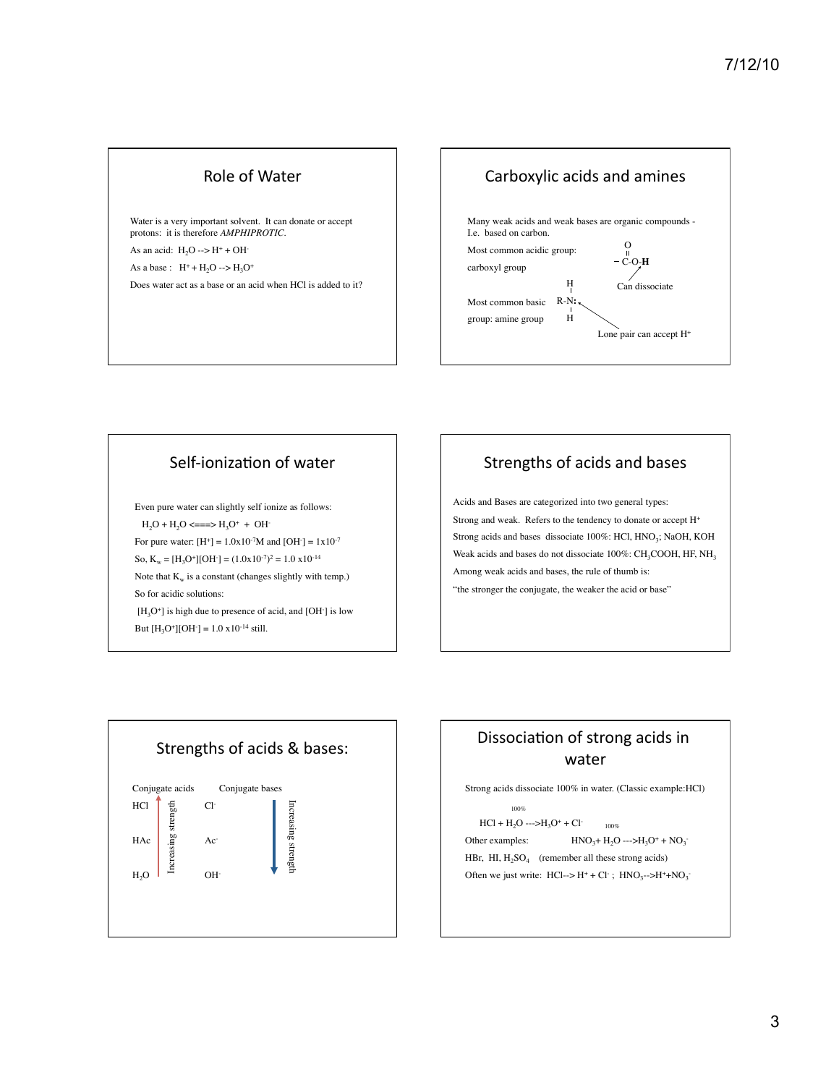### Role of Water

Water is a very important solvent. It can donate or accept protons: it is therefore *AMPHIPROTIC.* As an acid:  $H_2O \rightarrow H^+ + OH^-$ As a base :  $H^+ + H_2O \rightarrow H_2O^+$ Does water act as a base or an acid when HCl is added to it?



### Self-ionization of water

Even pure water can slightly self ionize as follows:  $H_2O + H_2O \leq r = 1$   $H_3O^+ + OH^-$ For pure water:  $[H^+] = 1.0x10^{-7}M$  and  $[OH^-] = 1x10^{-7}$ So,  $K_w = [H_3O^+][OH^-] = (1.0x10^{-7})^2 = 1.0x10^{-14}$ Note that  $K_w$  is a constant (changes slightly with temp.) So for acidic solutions:  $[H_3O^+]$  is high due to presence of acid, and  $[OH^-]$  is low But  $[H_3O^+][OH^-] = 1.0 \times 10^{-14} \text{ still.}$ 

# Strengths of acids and bases

Acids and Bases are categorized into two general types: Strong and weak. Refers to the tendency to donate or accept H+ Strong acids and bases dissociate 100%: HCl, HNO<sub>3</sub>; NaOH, KOH Weak acids and bases do not dissociate  $100\%$ : CH<sub>3</sub>COOH, HF, NH<sub>3</sub> Among weak acids and bases, the rule of thumb is: "the stronger the conjugate, the weaker the acid or base"



# Dissociation of strong acids in water

Strong acids dissociate 100% in water. (Classic example:HCl)

100%  $HCl + H<sub>2</sub>O \longrightarrow H<sub>3</sub>O<sup>+</sup> + Cl<sup>-</sup>$  100% Other examples:  $HNO<sub>3</sub>+H<sub>2</sub>O---H<sub>3</sub>O<sup>+</sup> + NO<sub>3</sub>$ HBr, HI,  $H_2SO_4$  (remember all these strong acids) Often we just write:  $HCl \rightarrow H^+ + Cl^-$ ;  $HNO_3 \rightarrow H^+ + NO_3$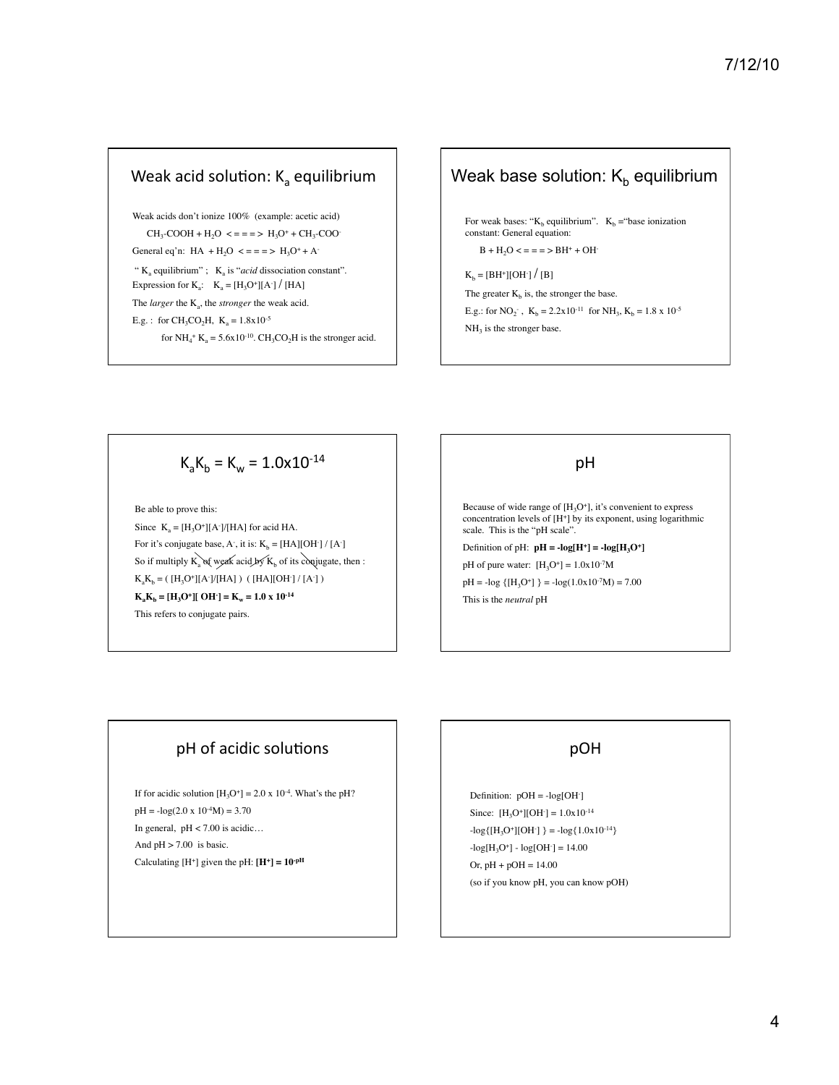### Weak acid solution:  $K<sub>a</sub>$  equilibrium

Weak acids don't ionize 100% (example: acetic acid)  $CH_3-COOH + H_2O \leq \frac{1}{2} = \frac{1}{2}H_3O^+ + CH_3-COO^-$ General eq'n:  $HA + H_2O \leq z = z \geq H_3O^+ + A_2$ "  $K_a$  equilibrium" ;  $K_a$  is "*acid* dissociation constant". Expression for  $K_a$ :  $K_a = [H_3O^+] [A^-] / [HA]$ The *larger* the K<sub>a</sub>, the *stronger* the weak acid. E.g. : for CH<sub>3</sub>CO<sub>2</sub>H,  $K_a = 1.8x10^{-5}$ for  $NH_4$ <sup>+</sup> K<sub>a</sub> = 5.6x10<sup>-10</sup>. CH<sub>3</sub>CO<sub>2</sub>H is the stronger acid.

# Weak base solution:  $K_b$  equilibrium

For weak bases: " $K_b$  equilibrium".  $K_b$  = "base ionization" constant: General equation:

 $B + H_2O \leq z = z$  >  $BH^+ + OH^-$ 

 $K_b = [BH^+][OH^-] / [B]$ 

The greater  $K_b$  is, the stronger the base.

E.g.: for NO<sub>2</sub><sup>-</sup>,  $K_b = 2.2x10^{-11}$  for NH<sub>3</sub>,  $K_b = 1.8 x 10^{-5}$ 

 $NH<sub>3</sub>$  is the stronger base.

$$
K_{a}K_{b} = K_{w} = 1.0 \times 10^{-14}
$$

Be able to prove this: Since  $K_a = [H_3O^+] [A^-]/[HA]$  for acid HA. For it's conjugate base, A, it is:  $K_b = [HA][OH^-] / [A^-]$ So if multiply  $K_a$  of weak acid by  $K_b$  of its conjugate, then :  $K_aK_b = (H_3O^+[[A^-]/[HA]) ( [HA][OH^-]/[A^-])$  $K_a K_b = [H_3 O^+][OH^-] = K_w = 1.0 \times 10^{-14}$ This refers to conjugate pairs.

### pH

Because of wide range of  $[H_3O^+]$ , it's convenient to express concentration levels of  $[H^+]$  by its exponent, using logarithmic scale. This is the "pH scale".

Definition of pH:  $pH = -log[H^+] = -log[H_3O^+]$ 

pH of pure water:  $[H_3O^+] = 1.0x10^{-7}M$  $pH = -log { [H<sub>3</sub>O<sup>+</sup>] } = -log(1.0x10<sup>-7</sup>M) = 7.00$ This is the *neutral* pH

# pH of acidic solutions

If for acidic solution  $[H_3O^+] = 2.0 \times 10^{-4}$ . What's the pH?  $pH = -log(2.0 \times 10^{-4} M) = 3.70$ In general,  $pH < 7.00$  is acidic... And  $pH > 7.00$  is basic. Calculating  $[H^+]$  given the pH:  $[H^+] = 10^{-pH}$ 

# pOH

Definition:  $pOH = -log[OH^{-}]$ Since:  $[H_3O^+][OH^-] = 1.0x10^{-14}$  $-\log{\left[\text{H}_3\text{O}^+\right]}[\text{OH}^-\right] = -\log{1.0x10^{-14}}$  $-log[H_3O^+] - log[OH^-] = 14.00$ Or,  $pH + pOH = 14.00$ (so if you know pH, you can know pOH)